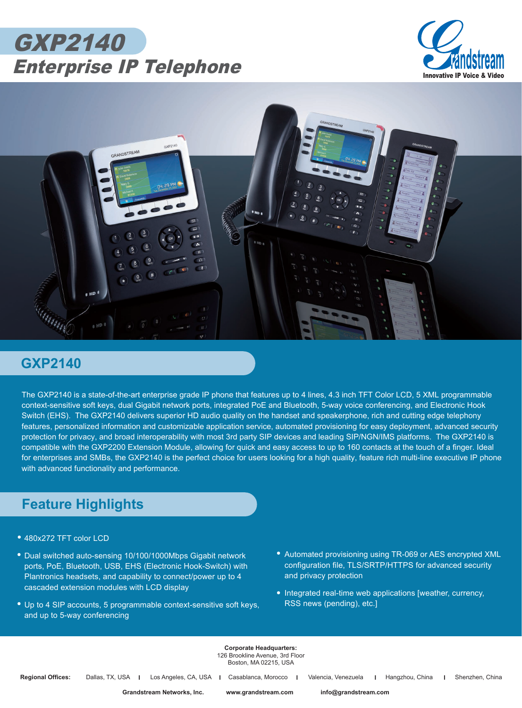





## **GXP2140**

The GXP2140 is a state-of-the-art enterprise grade IP phone that features up to 4 lines, 4.3 inch TFT Color LCD, 5 XML programmable context-sensitive soft keys, dual Gigabit network ports, integrated PoE and Bluetooth, 5-way voice conferencing, and Electronic Hook Switch (EHS). The GXP2140 delivers superior HD audio quality on the handset and speakerphone, rich and cutting edge telephony features, personalized information and customizable application service, automated provisioning for easy deployment, advanced security protection for privacy, and broad interoperability with most 3rd party SIP devices and leading SIP/NGN/IMS platforms. The GXP2140 is compatible with the GXP2200 Extension Module, allowing for quick and easy access to up to 160 contacts at the touch of a finger. Ideal for enterprises and SMBs, the GXP2140 is the perfect choice for users looking for a high quality, feature rich multi-line executive IP phone with advanced functionality and performance.

## **Feature Highlights**

- 480x272 TFT color LCD *•*
- Dual switched auto-sensing 10/100/1000Mbps Gigabit network *•* ports, PoE, Bluetooth, USB, EHS (Electronic Hook-Switch) with Plantronics headsets, and capability to connect/power up to 4 cascaded extension modules with LCD display
- Up to 4 SIP accounts, 5 programmable context-sensitive soft keys, *•* and up to 5-way conferencing
- Automated provisioning using TR-069 or AES encrypted XML *•* configuration file, TLS/SRTP/HTTPS for advanced security and privacy protection
- Integrated real-time web applications [weather, currency, RSS news (pending), etc.]

**Corporate Headquarters:** 126 Brookline Avenue, 3rd Floor Boston, MA 02215, USA

**Regional Offices:** Dallas, TX, USA | Los Angeles, CA, USA | Casablanca, Morocco | Valencia, Venezuela | Hangzhou, China | Shenzhen, China